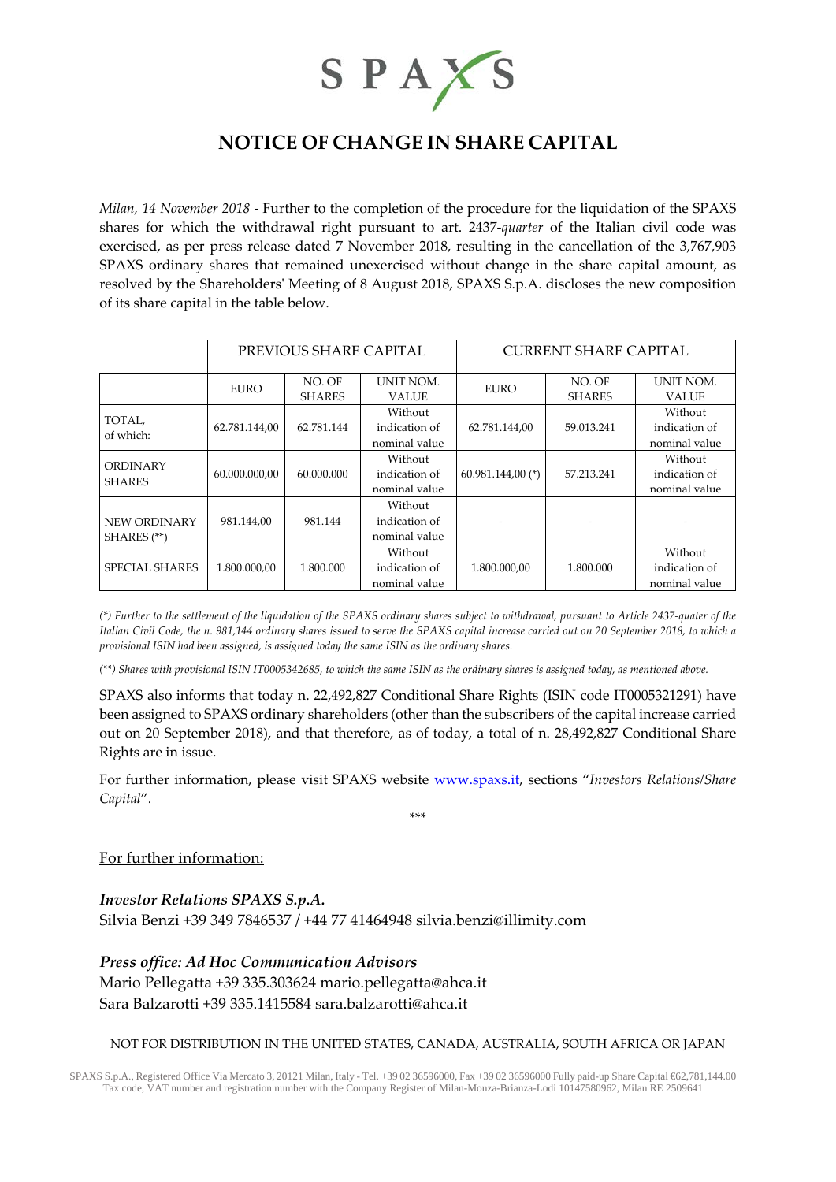

# **NOTICE OF CHANGE IN SHARE CAPITAL**

*Milan, 14 November 2018* - Further to the completion of the procedure for the liquidation of the SPAXS shares for which the withdrawal right pursuant to art. 2437-*quarter* of the Italian civil code was exercised, as per press release dated 7 November 2018, resulting in the cancellation of the 3,767,903 SPAXS ordinary shares that remained unexercised without change in the share capital amount, as resolved by the Shareholders' Meeting of 8 August 2018, SPAXS S.p.A. discloses the new composition of its share capital in the table below.

|                                  | PREVIOUS SHARE CAPITAL |                         |                                           | <b>CURRENT SHARE CAPITAL</b> |                         |                                           |
|----------------------------------|------------------------|-------------------------|-------------------------------------------|------------------------------|-------------------------|-------------------------------------------|
|                                  | <b>EURO</b>            | NO. OF<br><b>SHARES</b> | UNIT NOM.<br><b>VALUE</b>                 | <b>EURO</b>                  | NO. OF<br><b>SHARES</b> | <b>UNIT NOM.</b><br><b>VALUE</b>          |
| TOTAL,<br>of which:              | 62.781.144,00          | 62.781.144              | Without<br>indication of<br>nominal value | 62.781.144,00                | 59.013.241              | Without<br>indication of<br>nominal value |
| <b>ORDINARY</b><br><b>SHARES</b> | 60.000.000,00          | 60.000.000              | Without<br>indication of<br>nominal value | $60.981.144,00$ (*)          | 57.213.241              | Without<br>indication of<br>nominal value |
| NEW ORDINARY<br>SHARES (**)      | 981.144,00             | 981.144                 | Without<br>indication of<br>nominal value |                              |                         |                                           |
| <b>SPECIAL SHARES</b>            | 1.800.000.00           | 1.800.000               | Without<br>indication of<br>nominal value | 1.800.000.00                 | 1.800.000               | Without<br>indication of<br>nominal value |

*(\*) Further to the settlement of the liquidation of the SPAXS ordinary shares subject to withdrawal, pursuant to Article 2437-quater of the Italian Civil Code, the n. 981,144 ordinary shares issued to serve the SPAXS capital increase carried out on 20 September 2018, to which a provisional ISIN had been assigned, is assigned today the same ISIN as the ordinary shares.*

*(\*\*) Shares with provisional ISIN IT0005342685, to which the same ISIN as the ordinary shares is assigned today, as mentioned above.*

SPAXS also informs that today n. 22,492,827 Conditional Share Rights (ISIN code IT0005321291) have been assigned to SPAXS ordinary shareholders (other than the subscribers of the capital increase carried out on 20 September 2018), and that therefore, as of today, a total of n. 28,492,827 Conditional Share Rights are in issue.

For further information, please visit SPAXS website [www.spaxs.it,](http://www.spaxs.it/) sections "*Investors Relations/Share Capital*". \*\*\*

## For further information:

*Investor Relations SPAXS S.p.A.* Silvia Benzi +39 349 7846537 / +44 77 41464948 [silvia.benzi@i](mailto:silvia.benzi@)llimity.com

*Press office: Ad Hoc Communication Advisors* Mario Pellegatta +39 335.303624 [mario.pellegatta@ahca.it](mailto:mario.pellegatta@ahca.it) Sara Balzarotti +39 335.1415584 [sara.balzarotti@ahca.it](mailto:sara.balzarotti@ahca.it)

### NOT FOR DISTRIBUTION IN THE UNITED STATES, CANADA, AUSTRALIA, SOUTH AFRICA OR JAPAN

SPAXS S.p.A., Registered Office Via Mercato 3, 20121 Milan, Italy - Tel. +39 02 36596000, Fax +39 02 36596000 Fully paid-up Share Capital €62,781,144.00 Tax code, VAT number and registration number with the Company Register of Milan-Monza-Brianza-Lodi 10147580962, Milan RE 2509641